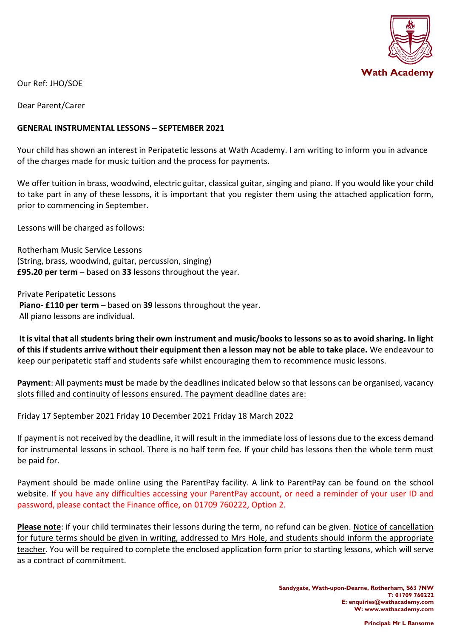

Our Ref: JHO/SOE

Dear Parent/Carer

## **GENERAL INSTRUMENTAL LESSONS – SEPTEMBER 2021**

Your child has shown an interest in Peripatetic lessons at Wath Academy. I am writing to inform you in advance of the charges made for music tuition and the process for payments.

We offer tuition in brass, woodwind, electric guitar, classical guitar, singing and piano. If you would like your child to take part in any of these lessons, it is important that you register them using the attached application form, prior to commencing in September.

Lessons will be charged as follows:

Rotherham Music Service Lessons (String, brass, woodwind, guitar, percussion, singing) **£95.20 per term** – based on **33** lessons throughout the year.

Private Peripatetic Lessons **Piano- £110 per term** – based on **39** lessons throughout the year. All piano lessons are individual.

**It is vital that all students bring their own instrument and music/books to lessons so as to avoid sharing. In light of this if students arrive without their equipment then a lesson may not be able to take place.** We endeavour to keep our peripatetic staff and students safe whilst encouraging them to recommence music lessons.

**Payment**: All payments **must** be made by the deadlines indicated below so that lessons can be organised, vacancy slots filled and continuity of lessons ensured. The payment deadline dates are:

Friday 17 September 2021 Friday 10 December 2021 Friday 18 March 2022

If payment is not received by the deadline, it will result in the immediate loss of lessons due to the excess demand for instrumental lessons in school. There is no half term fee. If your child has lessons then the whole term must be paid for.

Payment should be made online using the ParentPay facility. A link to ParentPay can be found on the school website. If you have any difficulties accessing your ParentPay account, or need a reminder of your user ID and password, please contact the Finance office, on 01709 760222, Option 2.

**Please note**: if your child terminates their lessons during the term, no refund can be given. Notice of cancellation for future terms should be given in writing, addressed to Mrs Hole, and students should inform the appropriate teacher. You will be required to complete the enclosed application form prior to starting lessons, which will serve as a contract of commitment.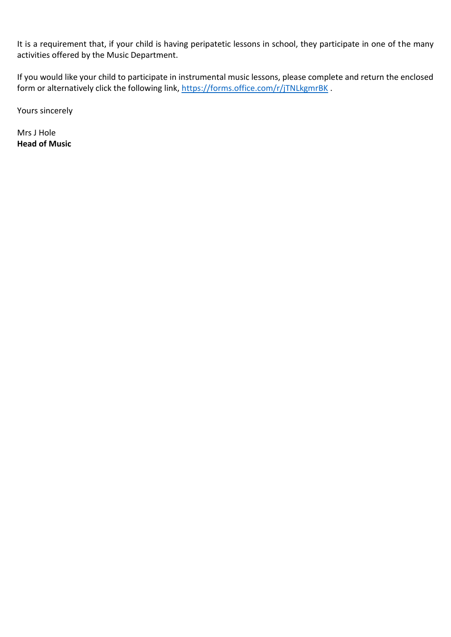It is a requirement that, if your child is having peripatetic lessons in school, they participate in one of the many activities offered by the Music Department.

If you would like your child to participate in instrumental music lessons, please complete and return the enclosed form or alternatively click the following link,<https://forms.office.com/r/jTNLkgmrBK>.

Yours sincerely

Mrs J Hole **Head of Music**